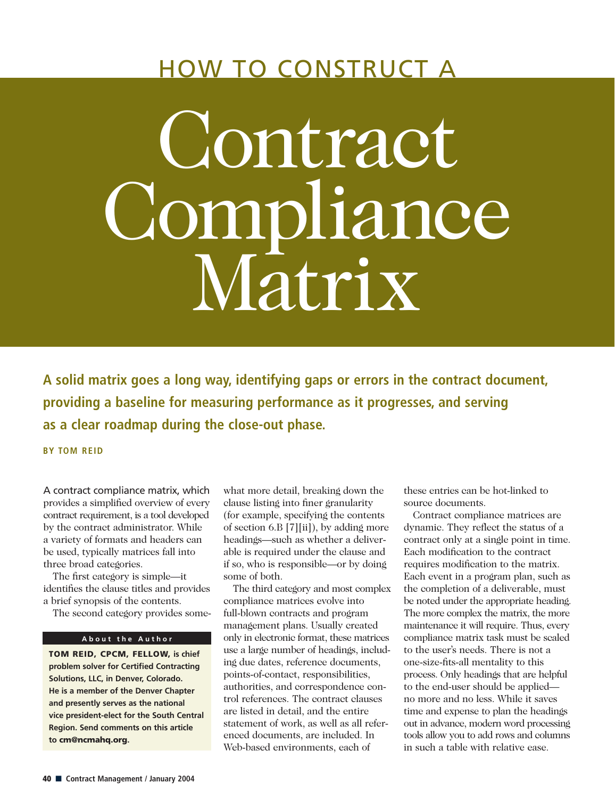# HOW TO CONSTRUCT A

# Contract Compliance Matrix

**A solid matrix goes a long way, identifying gaps or errors in the contract document, providing a baseline for measuring performance as it progresses, and serving as a clear roadmap during the close-out phase.**

**BY TOM REID**

A contract compliance matrix, which provides a simplified overview of every contract requirement, is a tool developed by the contract administrator. While a variety of formats and headers can be used, typically matrices fall into three broad categories.

The first category is simple—it identifies the clause titles and provides a brief synopsis of the contents.

The second category provides some-

### **About the Author**

**TOM REID, CPCM, FELLOW, is chief problem solver for Certified Contracting Solutions, LLC, in Denver, Colorado. He is a member of the Denver Chapter and presently serves as the national vice president-elect for the South Central Region. Send comments on this article to cm@ncmahq.org.** 

what more detail, breaking down the clause listing into finer granularity (for example, specifying the contents of section 6.B [7][ii]), by adding more headings—such as whether a deliverable is required under the clause and if so, who is responsible—or by doing some of both.

The third category and most complex compliance matrices evolve into full-blown contracts and program management plans. Usually created only in electronic format, these matrices use a large number of headings, including due dates, reference documents, points-of-contact, responsibilities, authorities, and correspondence control references. The contract clauses are listed in detail, and the entire statement of work, as well as all referenced documents, are included. In Web-based environments, each of

these entries can be hot-linked to source documents.

Contract compliance matrices are dynamic. They reflect the status of a contract only at a single point in time. Each modification to the contract requires modification to the matrix. Each event in a program plan, such as the completion of a deliverable, must be noted under the appropriate heading. The more complex the matrix, the more maintenance it will require. Thus, every compliance matrix task must be scaled to the user's needs. There is not a one-size-fits-all mentality to this process. Only headings that are helpful to the end-user should be applied no more and no less. While it saves time and expense to plan the headings out in advance, modern word processing tools allow you to add rows and columns in such a table with relative ease.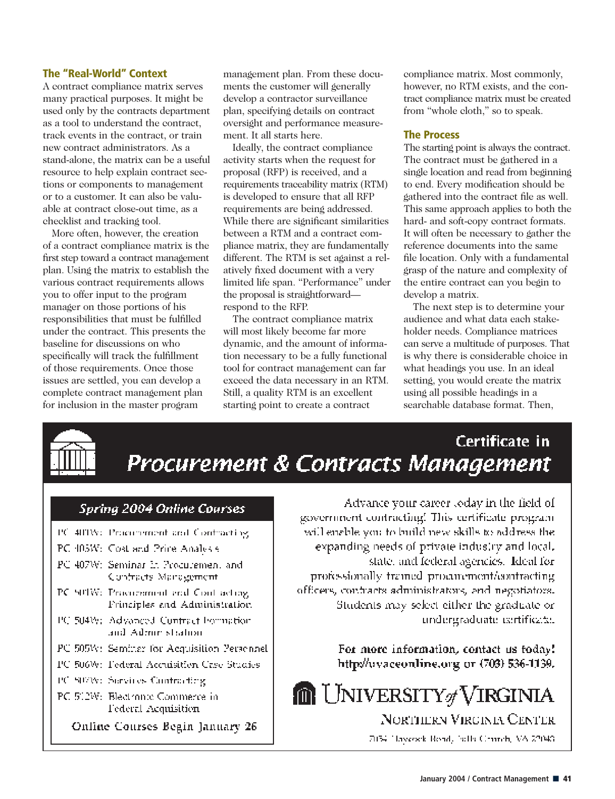# **The "Real-World" Context**

A contract compliance matrix serves many practical purposes. It might be used only by the contracts department as a tool to understand the contract, track events in the contract, or train new contract administrators. As a stand-alone, the matrix can be a useful resource to help explain contract sections or components to management or to a customer. It can also be valuable at contract close-out time, as a checklist and tracking tool.

More often, however, the creation of a contract compliance matrix is the first step toward a contract management plan. Using the matrix to establish the various contract requirements allows you to offer input to the program manager on those portions of his responsibilities that must be fulfilled under the contract. This presents the baseline for discussions on who specifically will track the fulfillment of those requirements. Once those issues are settled, you can develop a complete contract management plan for inclusion in the master program

management plan. From these documents the customer will generally develop a contractor surveillance plan, specifying details on contract oversight and performance measurement. It all starts here.

Ideally, the contract compliance activity starts when the request for proposal (RFP) is received, and a requirements traceability matrix (RTM) is developed to ensure that all RFP requirements are being addressed. While there are significant similarities between a RTM and a contract compliance matrix, they are fundamentally different. The RTM is set against a relatively fixed document with a very limited life span. "Performance" under the proposal is straightforward respond to the RFP.

The contract compliance matrix will most likely become far more dynamic, and the amount of information necessary to be a fully functional tool for contract management can far exceed the data necessary in an RTM. Still, a quality RTM is an excellent starting point to create a contract

compliance matrix. Most commonly, however, no RTM exists, and the contract compliance matrix must be created from "whole cloth," so to speak.

# **The Process**

The starting point is always the contract. The contract must be gathered in a single location and read from beginning to end. Every modification should be gathered into the contract file as well. This same approach applies to both the hard- and soft-copy contract formats. It will often be necessary to gather the reference documents into the same file location. Only with a fundamental grasp of the nature and complexity of the entire contract can you begin to develop a matrix.

The next step is to determine your audience and what data each stakeholder needs. Compliance matrices can serve a multitude of purposes. That is why there is considerable choice in what headings you use. In an ideal setting, you would create the matrix using all possible headings in a searchable database format. Then,



Certificate in Procurement & Contracts Management

# **Spring 2004 Online Courses**

- PC 400W: Procurement and Contracting
- PC 405W: Cost and Price Analysis
- PC 407W: Seminar In Procuremen, and Confracts Management
- PC SITW: Practicement and Contracting Frinciples and Administration
- PC 504W; Advanced Contract Formation and Administration
- PC 505W: Seminar for Acquisition Personnel
- PC 506W: Federal Acculsition Case Studies
- PC SIVAY: Survices Contracting
- PC 512W: Blectronic Commerce in Federal Acquisition

Online Courses Begin January 26

Advance your career loday in the field of government contracting! This certificate program will enable you to build new skills to address the expanding needs of private industry and local, state, and federal agencies. Ideal for professionally framed producment/confracting officers, contracts administrators, and negotiators. Students may select either the graduate or undergraduate certificate.

> For more information, contact us today! http://wyaceonline.org/or/(703) 536-1139.

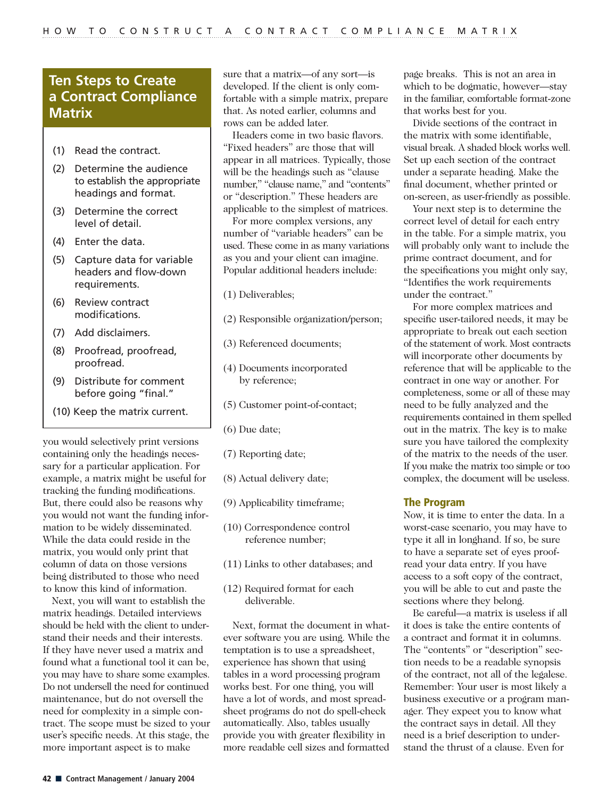# **Ten Steps to Create a Contract Compliance Matrix**

- (1) Read the contract.
- (2) Determine the audience to establish the appropriate headings and format.
- (3) Determine the correct level of detail.
- (4) Enter the data.
- (5) Capture data for variable headers and flow-down requirements.
- (6) Review contract modifications.
- (7) Add disclaimers.
- (8) Proofread, proofread, proofread.
- (9) Distribute for comment before going "final."
- (10) Keep the matrix current.

you would selectively print versions containing only the headings necessary for a particular application. For example, a matrix might be useful for tracking the funding modifications. But, there could also be reasons why you would not want the funding information to be widely disseminated. While the data could reside in the matrix, you would only print that column of data on those versions being distributed to those who need to know this kind of information.

Next, you will want to establish the matrix headings. Detailed interviews should be held with the client to understand their needs and their interests. If they have never used a matrix and found what a functional tool it can be, you may have to share some examples. Do not undersell the need for continued maintenance, but do not oversell the need for complexity in a simple contract. The scope must be sized to your user's specific needs. At this stage, the more important aspect is to make

sure that a matrix—of any sort—is developed. If the client is only comfortable with a simple matrix, prepare that. As noted earlier, columns and rows can be added later.

Headers come in two basic flavors. "Fixed headers" are those that will appear in all matrices. Typically, those will be the headings such as "clause number," "clause name," and "contents" or "description." These headers are applicable to the simplest of matrices.

For more complex versions, any number of "variable headers" can be used. These come in as many variations as you and your client can imagine. Popular additional headers include:

- (1) Deliverables;
- (2) Responsible organization/person;
- (3) Referenced documents;
- (4) Documents incorporated by reference;
- (5) Customer point-of-contact;
- (6) Due date;
- (7) Reporting date;
- (8) Actual delivery date;
- (9) Applicability timeframe;
- (10) Correspondence control reference number;
- (11) Links to other databases; and
- (12) Required format for each deliverable.

Next, format the document in whatever software you are using. While the temptation is to use a spreadsheet, experience has shown that using tables in a word processing program works best. For one thing, you will have a lot of words, and most spreadsheet programs do not do spell-check automatically. Also, tables usually provide you with greater flexibility in more readable cell sizes and formatted

page breaks. This is not an area in which to be dogmatic, however—stay in the familiar, comfortable format-zone that works best for you.

Divide sections of the contract in the matrix with some identifiable, visual break. A shaded block works well. Set up each section of the contract under a separate heading. Make the final document, whether printed or on-screen, as user-friendly as possible.

Your next step is to determine the correct level of detail for each entry in the table. For a simple matrix, you will probably only want to include the prime contract document, and for the specifications you might only say, "Identifies the work requirements under the contract."

For more complex matrices and specific user-tailored needs, it may be appropriate to break out each section of the statement of work. Most contracts will incorporate other documents by reference that will be applicable to the contract in one way or another. For completeness, some or all of these may need to be fully analyzed and the requirements contained in them spelled out in the matrix. The key is to make sure you have tailored the complexity of the matrix to the needs of the user. If you make the matrix too simple or too complex, the document will be useless.

## **The Program**

Now, it is time to enter the data. In a worst-case scenario, you may have to type it all in longhand. If so, be sure to have a separate set of eyes proofread your data entry. If you have access to a soft copy of the contract, you will be able to cut and paste the sections where they belong.

Be careful—a matrix is useless if all it does is take the entire contents of a contract and format it in columns. The "contents" or "description" section needs to be a readable synopsis of the contract, not all of the legalese. Remember: Your user is most likely a business executive or a program manager. They expect you to know what the contract says in detail. All they need is a brief description to understand the thrust of a clause. Even for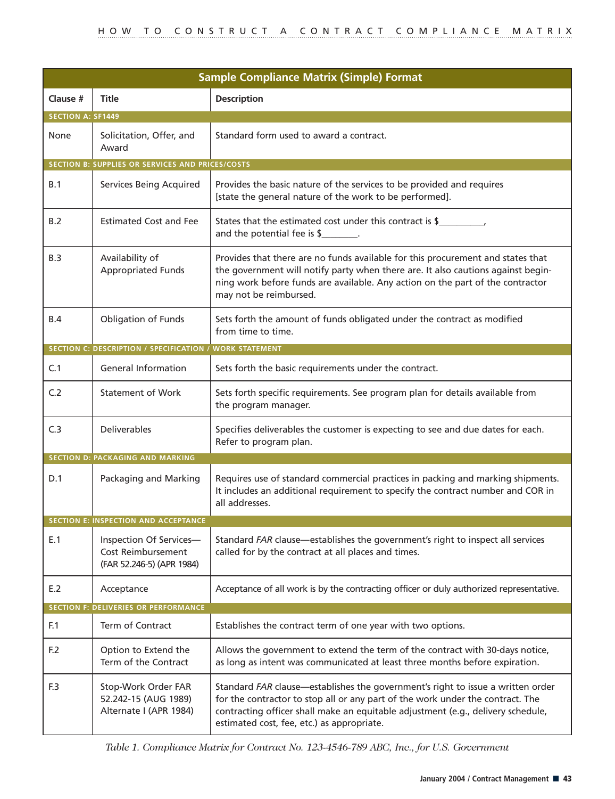| <b>Sample Compliance Matrix (Simple) Format</b>  |                                                                            |                                                                                                                                                                                                                                                                                                     |
|--------------------------------------------------|----------------------------------------------------------------------------|-----------------------------------------------------------------------------------------------------------------------------------------------------------------------------------------------------------------------------------------------------------------------------------------------------|
| Clause #                                         | <b>Title</b>                                                               | <b>Description</b>                                                                                                                                                                                                                                                                                  |
| <b>SECTION A: SF1449</b>                         |                                                                            |                                                                                                                                                                                                                                                                                                     |
| None                                             | Solicitation, Offer, and<br>Award                                          | Standard form used to award a contract.                                                                                                                                                                                                                                                             |
| SECTION B: SUPPLIES OR SERVICES AND PRICES/COSTS |                                                                            |                                                                                                                                                                                                                                                                                                     |
| B.1                                              | Services Being Acquired                                                    | Provides the basic nature of the services to be provided and requires<br>[state the general nature of the work to be performed].                                                                                                                                                                    |
| B.2                                              | <b>Estimated Cost and Fee</b>                                              | States that the estimated cost under this contract is \$<br>and the potential fee is \$                                                                                                                                                                                                             |
| B.3                                              | Availability of<br><b>Appropriated Funds</b>                               | Provides that there are no funds available for this procurement and states that<br>the government will notify party when there are. It also cautions against begin-<br>ning work before funds are available. Any action on the part of the contractor<br>may not be reimbursed.                     |
| B.4                                              | Obligation of Funds                                                        | Sets forth the amount of funds obligated under the contract as modified<br>from time to time.                                                                                                                                                                                                       |
|                                                  | SECTION C: DESCRIPTION / SPECIFICATION / WORK STATEMENT                    |                                                                                                                                                                                                                                                                                                     |
| C.1                                              | <b>General Information</b>                                                 | Sets forth the basic requirements under the contract.                                                                                                                                                                                                                                               |
| C.2                                              | <b>Statement of Work</b>                                                   | Sets forth specific requirements. See program plan for details available from<br>the program manager.                                                                                                                                                                                               |
| C.3                                              | Deliverables                                                               | Specifies deliverables the customer is expecting to see and due dates for each.<br>Refer to program plan.                                                                                                                                                                                           |
|                                                  | <b>SECTION D: PACKAGING AND MARKING</b>                                    |                                                                                                                                                                                                                                                                                                     |
| D.1                                              | Packaging and Marking                                                      | Requires use of standard commercial practices in packing and marking shipments.<br>It includes an additional requirement to specify the contract number and COR in<br>all addresses.                                                                                                                |
|                                                  | <b>SECTION E: INSPECTION AND ACCEPTANCE</b>                                |                                                                                                                                                                                                                                                                                                     |
| E.1                                              | Inspection Of Services-<br>Cost Reimbursement<br>(FAR 52.246-5) (APR 1984) | Standard FAR clause—establishes the government's right to inspect all services<br>called for by the contract at all places and times.                                                                                                                                                               |
| E.2                                              | Acceptance                                                                 | Acceptance of all work is by the contracting officer or duly authorized representative.                                                                                                                                                                                                             |
|                                                  | <b>SECTION F: DELIVERIES OR PERFORMANCE</b>                                |                                                                                                                                                                                                                                                                                                     |
| F.1                                              | Term of Contract                                                           | Establishes the contract term of one year with two options.                                                                                                                                                                                                                                         |
| F.2                                              | Option to Extend the<br>Term of the Contract                               | Allows the government to extend the term of the contract with 30-days notice,<br>as long as intent was communicated at least three months before expiration.                                                                                                                                        |
| F.3                                              | Stop-Work Order FAR<br>52.242-15 (AUG 1989)<br>Alternate I (APR 1984)      | Standard FAR clause—establishes the government's right to issue a written order<br>for the contractor to stop all or any part of the work under the contract. The<br>contracting officer shall make an equitable adjustment (e.g., delivery schedule,<br>estimated cost, fee, etc.) as appropriate. |

*Table 1. Compliance Matrix for Contract No. 123-4546-789 ABC, Inc., for U.S. Government*